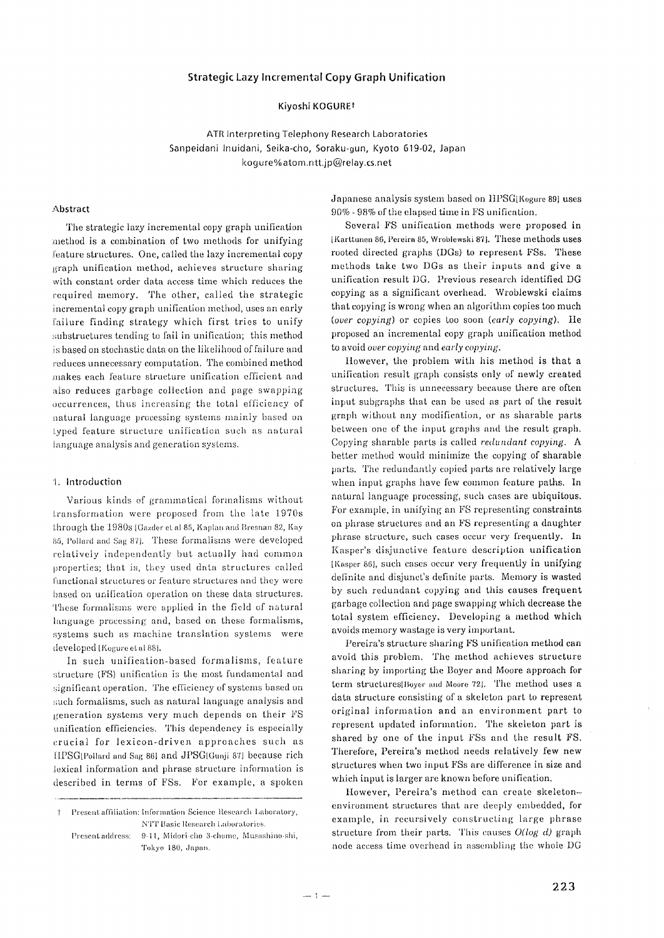## **Strategic Lazy Incremental Copy Graph Unification**

# **Kiyoshi KOGUREt**

**ATR Interpreting Telephony Research Laboratories Sanpeidani Inuidani, Seika-cho, Soraku-gun, Kyoto 619-02, Japan keg ure% atom.ntt.jp@relay.cs.net** 

#### **Abstract**

The strategic lazy incremental copy graph unification method is a combination of two methods for unifying feature structures. One, called the lazy incremental copy graph unification method, achieves structure sharing with constant order data access time which reduces the required memory. The other, called the strategic incremental copy graph unification method, uses an early failure finding strategy which first tries to unify substructures tending to fail in unification; this method is based on stochastic data on the likelihood of failure and ,'educes unnecessary computation. The combined method .makes each feature structure unification efficient and also reduces garbage collection and page swapping occurrences, thus increasing the total efficiency of natural language processing systems mainly based on I.yped feature structure unification such as natural language analysis and generation systems.

## 1. Introduction

Various kinds of grammatical formalisms without transformation were proposed from the late 1970s Ihrough the 1980s (Gazder et al 85, Kaplan and Bresnan 82, Kay 85, Pollard and Sag 87]. These formalisms were developed relatively independentIy but actually had common properties; that is, they used data structures called functional structures or feature structures and they were based on unification operation on these data structures. These formalisms were applied in the field of natural language processing and, based on these formalisms, systems such as machine translation systems were developed [Kogure et al 88].

In such unification-based formalisms, feature structure (FS) unification is the most fundamental and significant operation. The efficiency of systems based on such formalisms, such as natural language analysis and generation systems very much depends on their FS unification efficiencies. This dependency is especially crucial for lexicon-driven approaches such as tlPSO[Pollard and Sag 861 and JPSG[Gunji 871 because rich lexieal information and phrase structure information is described in terms of FSs. For example, a spoken Japanese analysis system based on llPSG[Kogure 891 uses 90% - 98% of the elapsed time in FS unification.

Several FS unificatioa methods were proposed in IKarttunen 86, l'ereira 85, Wroblewski 871. These methods **uses**  rooted directed graphs (DGs) to represent FSs. **These**  methods take two DGs as their inputs and give a unification result DG. Previous research identified DG copying as a significant overhead. Wroblewski claims that copying is wrong when an algorithm copies too much *(over copying)* or copies too soon *(early copying).* Ile proposed an incremental copy graph unification method to avoid *over copying* and *early copying.* 

However, the problem with his method is that a unitication result graph consists only of newly **created**  structures. This is unnecessary because there **are** often input subgraphs that can be used as part of the result graph without any modification, or as sharable parts between one of the input graphs and the result graph. Copying sharable parts is called *redundant copying. A*  better method would minimize the copying of sharable parts. The redundantly copied parts are relatively large when input graphs have few common feature paths. In natural language processing, such cases are ubiquitous. For example, in unifying an FS representing constraints on phrase structures and an FS representing a daughter phrase structure, such cases occur very frequently. In Kasper's disjunctive feature description unification [Kasper 861, such cases occur very h'equently in unifying definite and disjunct's definite parts. Memory is wasted by such redundant copying and this causes frequent garbage collection and page swapping which decrease **the**  total system efficiency. Developing a method which avoids memory wastage is very important.

Pereira's structure sharing FS unification method can avoid this problem. The method achieves **structure**  sharing by importing the Bayer and Moore approach for term structures [Boyer and Moore 72]. The method uses a data structure consisting of a skeleton part to **represent**  original information and an environment part to represent updated information. The skeleton part is shared by one of the input FSs and the result FS. Therefore, Pereira's method needs relatively few new structures when two input FSs are difference in size and which input **is** larger are known before unification.

However, Pereira's method can create skeletonenviromnent structures that are deeply embedded, for example, in reeursively constructing large phrase structure from their parts. This causes  $O(log\ d)$  graph node access time overhead in assembling the whole DG

Present affiliation: Information Science Research Laboratory,  $^\dagger$ NTT Basic Research i.aboratories.

Present address: 9-11, Midori-cho 3-chome, Musashino-shi, Tokyo 180, Japan.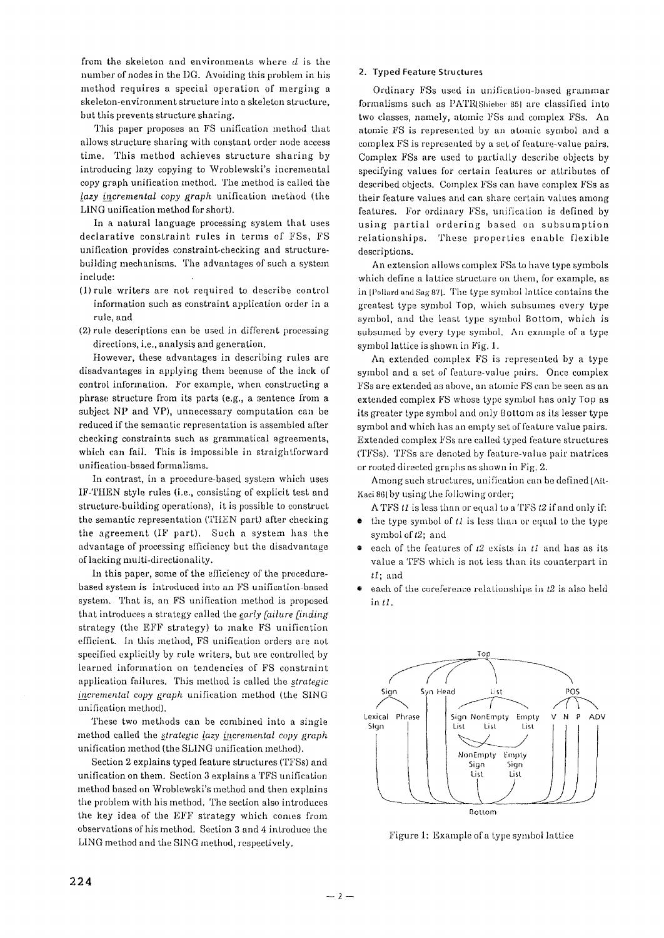from the skeleton and environments where  $d$  is the number of nodes in the DG. Avoiding this problem in his method requires a special operation of merging a skeleton-environment structure into a skeleton structure, but this prevents structure sharing.

This paper proposes an FS unification method that allows structure sharing with constant order node access time. This method achieves structure sharing by introducing lazy copying to Wroblewski's incremental copy graph unification method. The method is called the *lazy incremental copy graph unification method (the* LING unifieation method for short).

In a natural language proeessing system that uses deelarative constraint rules in terms of FSs, FS unification provides constraint-checking and structurebuilding mechanisms. The advantages of such a system include:

- (1)rule writers are not required to describe control information such as constraint application order in a rule, and
- (2) rule descriptions can be used in different processing directions, i.e., analysis and generation.

However, these advantages in describing rules are disadvantages in applying them because of the lack of control information. For example, when constructing a phrase structure from its parts (e.g., a sentence from a subject NP and VP), unnecessary computation can be reduced if the semantic representation is assembled after checking constraints such as grammatical agreements, which can fail. This is impossible in straightforward unification-based formalisms.

In contrast, in a procedure-based system which uses IF-TItEN style rules (i.e., consisting of explicit test and structure-building operations), it is possible to construct the semantic representation (THEN part) after checking the agreement (IF part). Such a system has the advantage of processing efficiency but the disadvantage of lacking multi-directionality.

In this paper, some of the efficiency of the procedurebased system is introduced into an FS unification-based system. That is, an FS unification method is proposed that introduces a strategy called the *early failure finding* strategy (the EFF strategy) to make FS unification efficient, in this method, FS unification orders are not specified explicitly by rule writers, but are controlled by learned information on tendencies of FS constraint application failures. This method is called the *strategic incremental copy graph unification method (the SING* unification method).

These two methods can be combined into a single method called the *strategic lazy incremental copy graph* unification method (the SLING unification method).

Section 2 explains typed feature structures (TFSs) and unification on them. Section 3 explains a TFS unification method based on Wroblewski's method and then explains the problem with his method. The section also introduces the key idea of the EFF strategy which comes from observations of his method. Section 3 and 4 introduce the LING method and the SING method, respectively.

# **2. Typed Feature Structures**

Ordinary FSs used in unification-based grammar formalisms such as PATR(Shieber 85) are classified into two classes, namely, atomic FSs and complex FSs. An atomic FS is represented by an atomic symbol and a complex FS is represented by a set of feature-value pairs. Complex FSs are used to partially describe objects by specifying values for certain features or attributes of described objects. Complex FSs can have complex FSs as their feature values and can share certain values among features. For ordinary FSs, unification is defined by using partial ordering based on subsumption relationships. These properties enable flexible descriptions.

An extension allows complex FSs to have type symbols which define a lattice structure on them, for example, as in [Pollard and Sag 87]. The type symbol lattice contains the greatest type symbol Top, which subsumes every type symbol, and the least type symbol Bottom, which is subsumed by every type symbol. An example of a type symbol lattice is shown in Fig. 1.

An extended complex FS is represented by a type symbol and a set of feature-value pairs. Once complex FSs are extended as above, an atomic FS can be seen as an extended complex FS whose type symbol has only Top as its greater type symbol and only Bottom as its lesser type symbol and which has an empty set of feature value pairs. Extended complex FSs are called typed feature structures (TFSs). TFSs are denoted by feature-value pair matrices or rooted directed graphs as shown in Fig. 2.

Among such structures, unification can be defined [Ait-Kaci 861 by using the following order;

ATFS *tl* is less than or equal to a TFS *t2* if and only if:

- the type symbol of *tl* is less than or equal to the type symbol of  $t2$ ; and
- each of the features of  $t2$  exists in  $t1$  and has as its value a TFS which is not less than its counterpart in *tl* ; and
- $\bullet$ each of the coreference relationships in *t2* is also held **in** *tl.*



Figure 1: Example of a type symbol lattice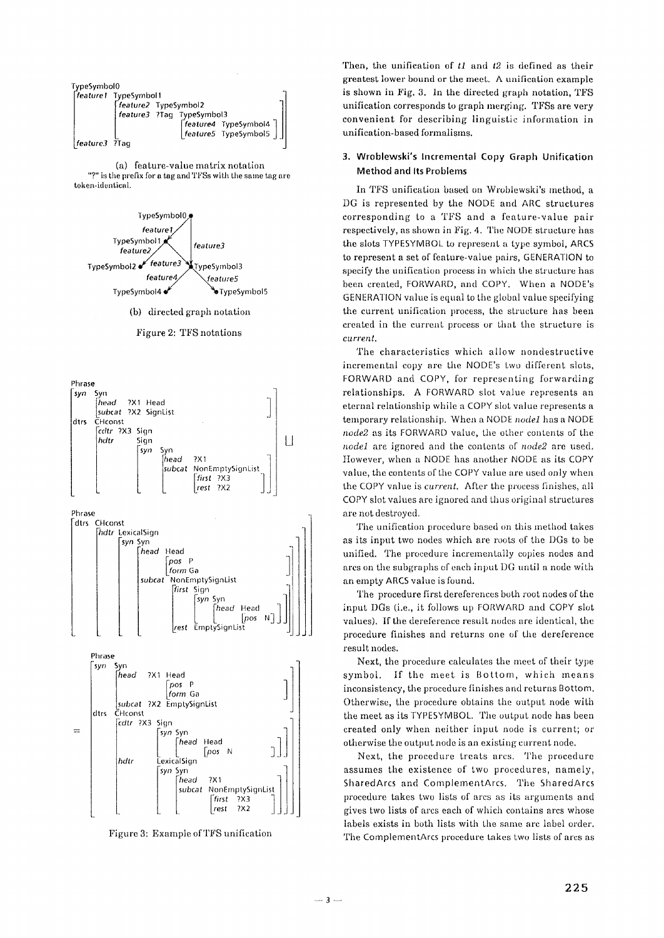| TypeSymbol0   |                       |                           |                                                                                                                      |  |
|---------------|-----------------------|---------------------------|----------------------------------------------------------------------------------------------------------------------|--|
|               | [feature1 TypeSymbol1 |                           |                                                                                                                      |  |
|               | Freature2 TypeSymbol2 |                           |                                                                                                                      |  |
|               |                       | feature3 ?Tag TypeSymbol3 |                                                                                                                      |  |
|               |                       |                           |                                                                                                                      |  |
|               |                       |                           | $\begin{bmatrix} \textit{feature4} & \textit{TypeSymbol4} \\ \textit{feature5} & \textit{TypeSymbol5} \end{bmatrix}$ |  |
| feature3 ?Taq |                       |                           |                                                                                                                      |  |

(a) feature-value matrix notation "?" is the prefix for a tag and TFSs with the same tag are token-identical.



(b) directed graph notation

#### Figure 2: TFS notations



Figure 3: Example of TFS unification

Then, the unification of  $tI$  and  $t2$  is defined as their greatest lower bound or the meet. A unification example is shown in Fig. 3. In the directed graph notation, TFS unification corresponds to graph merging. TFSs are very convenient for describing linguistic information in unification-based formalisms.

# 3. Wroblewski's Incremental Copy Graph Unification **Method and Its Problems**

In TFS unification based on Wroblewski's method, a DG is represented by the NODE and ARC structures corresponding to a TFS and a feature-value pair respectively, as shown in Fig. 4. The NODE structure has the slots TYPESYMBOL to represent a type symbol, ARCS to represent a set of feature-value pairs, GENERATION to specify the unification process in which the structure has been created, FORWARD, and COPY. When a NODE's GENERATION value is equal to the global value specifying the current unification process, the structure has been created in the current process or that the structure is current.

The characteristics which allow nondestructive incremental copy are the NODE's two different slots, FORWARD and COPY, for representing forwarding relationships. A FORWARD slot value represents an eternal relationship while a COPY slot value represents a temporary relationship. When a NODE nodel has a NODE node2 as its FORWARD value, the other contents of the nodel are ignored and the contents of node2 are used. However, when a NODE has another NODE as its COPY value, the contents of the COPY value are used only when the COPY value is *current*. After the process finishes, all COPY slot values are ignored and thus original structures are not destroyed.

The unification procedure based on this method takes as its input two nodes which are roots of the DGs to be unified. The procedure incrementally copies nodes and arcs on the subgraphs of each input DG until a node with an empty ARCS value is found.

The procedure first dereferences both root nodes of the input DGs (i.e., it follows up FORWARD and COPY slot values). If the dereference result nodes are identical, the procedure finishes and returns one of the dereference result nodes.

Next, the procedure calculates the meet of their type symbol. If the meet is Bottom, which means inconsistency, the procedure finishes and returns Bottom. Otherwise, the procedure obtains the output node with the meet as its TYPESYMBOL. The output node has been created only when neither input node is current; or otherwise the output node is an existing current node.

Next, the procedure treats arcs. The procedure assumes the existence of two procedures, namely, SharedArcs and ComplementArcs. The SharedArcs procedure takes two lists of arcs as its arguments and gives two lists of arcs each of which contains arcs whose labels exists in both lists with the same arc label order. The ComplementArcs procedure takes two lists of arcs as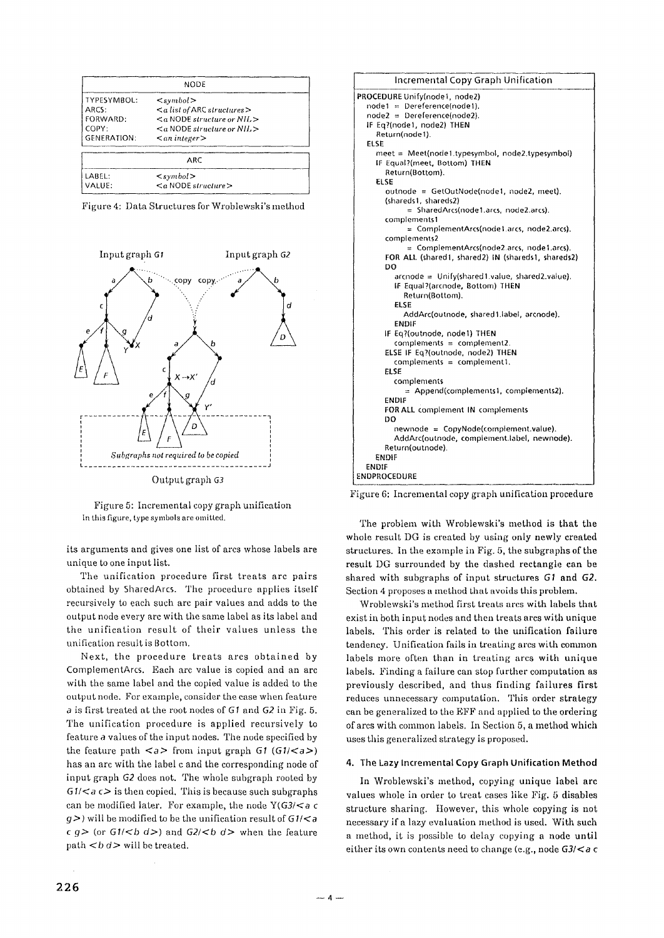|                                                                 | <b>NODE</b>                                                                                                                                                                        |  |
|-----------------------------------------------------------------|------------------------------------------------------------------------------------------------------------------------------------------------------------------------------------|--|
| TYPESYMBOL:<br>ARCS:<br>FORWARD:<br>COPY:<br><b>GENERATION:</b> | $\le$ symbol $>$<br>$\leq a$ list of ARC structures $\geq$<br>$\leq$ a NODE structure or NIL $>$<br>$\leq a$ NODE structure or NH <sub>1</sub> ><br>$\langle$ an integer $\rangle$ |  |
|                                                                 | ARC                                                                                                                                                                                |  |
| LABEL:<br>VALUE:                                                | $\langle$ symbol $\rangle$<br>$\leq a$ NODE structure $>$                                                                                                                          |  |

|  |  | Figure 4: Data Structures for Wroblewski's method |
|--|--|---------------------------------------------------|
|--|--|---------------------------------------------------|



Output graph G3

Figure 5: Incremental copy graph unification In this figure, type symbols are omitted.

its arguments and gives one list of arcs whose labels are unique to one input list.

The unification procedure first treats arc pairs obtained by SharedArcs. The procedure applies itself recursively to each such arc pair values and adds to the output node every arc with the same label as its label and the unification result of their values unless the unification result is Bottom.

Next, the procedure treats arcs obtained by ComplementArcs. Each arc value is copied and an arc with the same label and the copied value is added to the output node. For example, consider the case when feature a is first treated at the root nodes of G1 and G2 in Fig. 5. The unification procedure is applied recursively to feature a values of the input nodes. The node specified by the feature path  $\langle a \rangle$  from input graph G1  $(G1/\langle a \rangle)$ has an arc with the label c and the corresponding node of input graph *G2* does not. The whole subgraph rooted by  $61$ / $\leq a \leq$  is then copied. This is because such subgraphs can be modified later. For example, the node  $Y(G3/$ g>) will be modified to be the unification result of G *1/<a*   $c q$  > (or  $G1$ /<br/> $d$  >) and  $G2$ /<br/> $d$  > when the feature path  **will be treated.** 



Figure 6: Incremental copy graph unification procedure

The problem with Wroblewski's method is that the whole result DG is created by using only newly created structures. In the example in Fig. 5, the subgraphs of the result DG surrounded by the dashed rectangle can be shared with subgraphs of input structures G1 and **G2,**  Section 4 proposes a method that avoids this problem,

Wroblewski's method first treats arcs with labels that exist in both input nodes and then treats arcs with unique labels. This order is related to the unification failure tendency. Unification fails in treating arcs with common labels more often than in treating arcs with unique labels. Finding a failure can stop further computation as previously described, and thus finding failures first reduces unnecessary computation. This order strategy can be generalized to the EFF and applied to the ordering of arcs with common labels. In Section 5, a method which uses this generalized strategy is proposed.

## **4. The Lazy Incremental Copy** Graph Unification Method

In Wroblewski's method, copying unique label arc values whole in order to treat cases like Fig. 5 disables structure sharing. However, this whole copying is not necessary if a lazy evaluation method is used. With such a method, it is possible to delay copying a node until either its own contents need to change (e.g., node  $G3/<sub>a</sub>$  c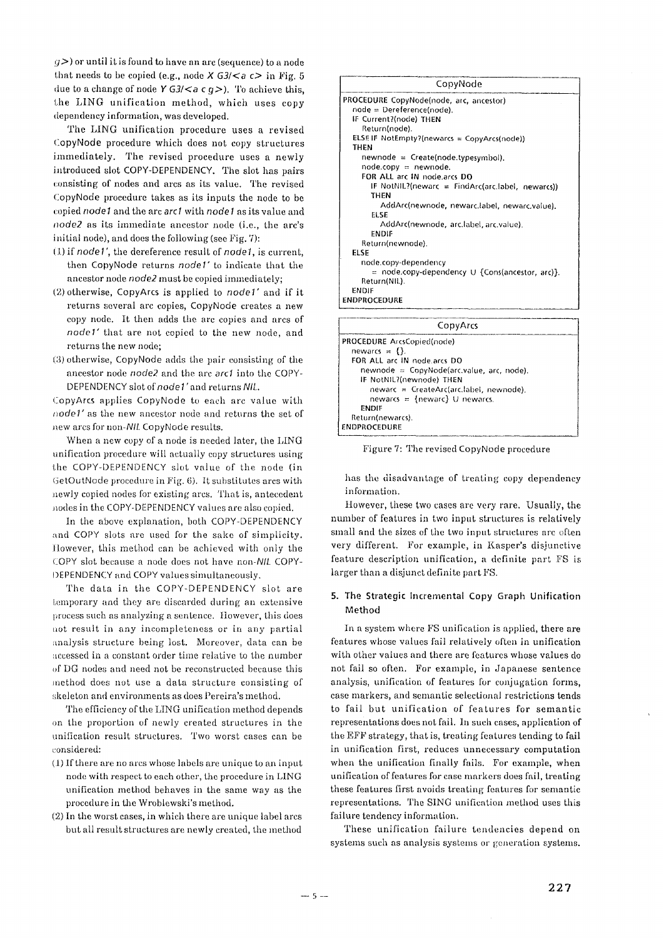$(y)$  or until it is found to have an arc (sequence) to a node that needs to be copied (e.g., node  $X$  G3/ $\lt a$  c $\gt$  in Fig. 5 due to a change of node Y G3/ $\lt a$  c g>). To achieve this, the LING unification method, which uses copy dependency information, was developed.

The LING unification procedure uses a revised CopyNode procedure which does not copy structures immediately. The revised procedure uses a newly introduced slot COPY-DEPENDENCY. The slot has pairs consisting of nodes and arcs as its value. The revised CopyNode procedure takes as its inputs the node to be copied *node I* and the arc arc I with *node I* as its value and *node2* as its immediate ancestor node (i.e., the arc's initial node), and does the following (see Fig.  $7$ ):

- (1) if *node1'*, the dereference result of *node1*, is current, then CopyNode returns *node l"* to indicate that the ancestor node *node2* must be copied immediately;
- (2)otherwise, CopyArcs is applied to *node1"* and if it returns several arc copies, CopyNode creates a new copy node. It then adds the arc copies and arcs of node1' that are not copied to the new node, and returns the new node;
- (3) otherwise, CopyNode adds the pair consisting of the ancestor node *node2* and the arc arc1 into the COPY-DEPENDENCY slot of node 1" and returns *Nil\_.*

CopyArcs applies CopyNode to each arc value with *node l'* as the new ancestor node and returns the set of new arcs for *non-Nil\_* CopyNode results.

When a new copy of a node is needed later, the LING unification procedure will actually copy structures using the COPY-DEPENDENCY slot value of the node (in GetOutNode procedure in Fig. 6). It substitutes arcs with newly copied nodes for existing arcs. That is, antecedent nodes in the COPY-DEPENDENCY values are also copied.

In the above explanation, both COPY-DEPENDENCY and COPY slots are used for the sake of simplicity. However, this method can be achieved with only the COPY slot because a node does not have *non-NIL* COPY-I)EPENDENCY and COPY values simultaneously.

The data in the COPY-DEPENDENCY slot are temporary and they are discarded during an extensive process such as analyzing a sentence. However, this does not result in any incompleteness or in any partial analysis structure being lost. Moreover, data can be accessed in a constant order time relative to the number of DG nodes and need not be reconstructed because this method does not use a data structure consisting of skeleton and environments as does Pereira's method.

The efficiency of the LING unification method depends on the proportion of newly created structures in the unification result structures. Two worst eases can be considered:

- (t) If there are no arcs whose labels are unique to an input node witlh respect to each other, the procedure in LING unification method behaves in the same way as the procedure in the Wroblewski's method.
- (2) In the worst eases, in which there are unique label arcs but all result structures are newly created, the method



| CopyArcs                                    |
|---------------------------------------------|
| PROCEDURE ArcsCopied(node)                  |
| newarcs = $\{\}$ .                          |
| FOR ALL arc IN node arcs DO                 |
| $newnode = CopyNode(arc.value, arc, node).$ |
| IF NotNIL?(newnode) THEN                    |
| $newarc = CreateArclarc, label, newnode).$  |
| newarcs = {newarc} U newarcs.               |
| ENDIF                                       |
| Return(newarcs).                            |
| <b>ENDPROCEDURE</b>                         |

Figure 7: The revised CopyNode procedure

has the disadvantage of treating copy dependency information.

However, these two cases are very rare. Usually, the number of features in two input structures is relatively small and the sizes of the two input structures are often very different. For example, in Kasper's disjunctive feature description unification, a definite part FS is larger than a disjunct definite part FS.

# **5. The Strategic Incremental Copy Graph Unification Method**

In a system where FS unification is applied, there are features whose values fail relatively often in unification with other values and there are features whose values do not fail so often. For example, in Japanese sentence analysis, unification of features for conjugation forms, case markers, and semantic selectional restrictions tends to fail but unification of features for semantic representations does not fail. In such cases, application of the EFF strategy, that is, treating features tending to fall in unification first, reduces unnecessary computation when the unification finally fails. For example, when unification of features for case markers does fail, treating these features first avoids treating features for senmntic representations. The SING unification method uses this failure tendency information.

These unification failure tendencies depend on systems such as analysis systems or generation systems.